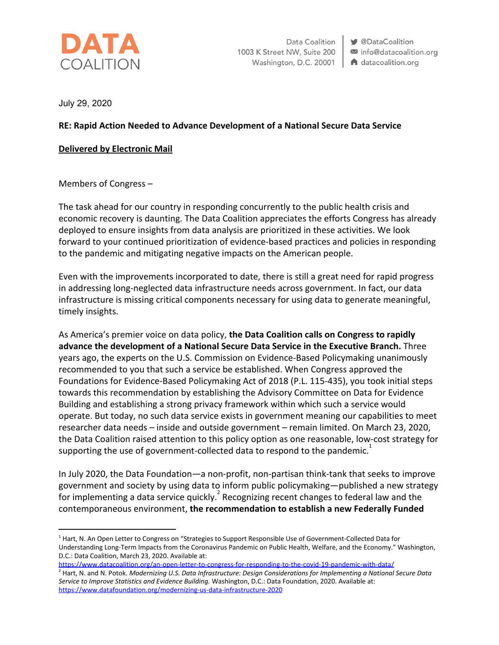

Data Coalition 1003 K Street NW, Suite 200 Washington, D.C. 20001 | A datacoalition.org

**V** @DataCoalition info@datacoalition.org

July 29, 2020

## **RE: Rapid Action Needed to Advance Development of a National Secure Data Service**

## **Delivered by Electronic Mail**

Members of Congress –

The task ahead for our country in responding concurrently to the public health crisis and economic recovery is daunting. The Data Coalition appreciates the efforts Congress has already deployed to ensure insights from data analysis are prioritized in these activities. We look forward to your continued prioritization of evidence-based practices and policies in responding to the pandemic and mitigating negative impacts on the American people.

Even with the improvements incorporated to date, there is still a great need for rapid progress in addressing long-neglected data infrastructure needs across government. In fact, our data infrastructure is missing critical components necessary for using data to generate meaningful, timely insights.

As America's premier voice on data policy, **the Data Coalition calls on Congress to rapidly advance the development of a National Secure Data Service in the Executive Branch.** Three years ago, the experts on the U.S. Commission on Evidence-Based Policymaking unanimously recommended to you that such a service be established. When Congress approved the Foundations for Evidence-Based Policymaking Act of 2018 (P.L. 115-435), you took initial steps towards this recommendation by establishing the Advisory Committee on Data for Evidence Building and establishing a strong privacy framework within which such a service would operate. But today, no such data service exists in government meaning our capabilities to meet researcher data needs – inside and outside government – remain limited. On March 23, 2020, the Data Coalition raised attention to this policy option as one reasonable, low-cost strategy for supporting the use of government-collected data to respond to the pandemic.<sup>1</sup>

In July 2020, the Data Foundation—a non-profit, non-partisan think-tank that seeks to improve government and society by using data to inform public policymaking—published a new strategy for implementing a data service quickly. Recognizing recent changes to federal law and the contemporaneous environment, **the recommendation to establish a new Federally Funded**

<https://www.datafoundation.org/modernizing-us-data-infrastructure-2020>

<sup>&</sup>lt;sup>1</sup> Hart, N. An Open Letter to Congress on "Strategies to Support Responsible Use of Government-Collected Data for Understanding Long-Term Impacts from the Coronavirus Pandemic on Public Health, Welfare, and the Economy." Washington, D.C.: Data Coalition, March 23, 2020. Available at:

<https://www.datacoalition.org/an-open-letter-to-congress-for-responding-to-the-covid-19-pandemic-with-data/> 2 Hart, N. and N. Potok. *Modernizing U.S. Data Infrastructure: Design Considerations for Implementing a National Secure Data Service to Improve Statistics and Evidence Building.* Washington, D.C.: Data Foundation, 2020. Available at: